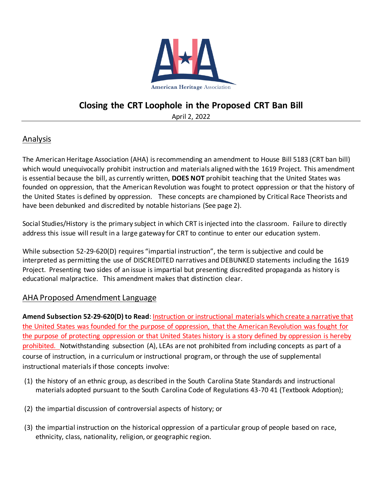

## **Closing the CRT Loophole in the Proposed CRT Ban Bill**

April 2, 2022

## Analysis

The American Heritage Association (AHA) is recommending an amendment to House Bill 5183 (CRT ban bill) which would unequivocally prohibit instruction and materials aligned with the 1619 Project. This amendment is essential because the bill, as currently written, **DOES NOT** prohibit teaching that the United States was founded on oppression, that the American Revolution was fought to protect oppression or that the history of the United States is defined by oppression. These concepts are championed by Critical Race Theorists and have been debunked and discredited by notable historians (See page 2).

Social Studies/History is the primary subject in which CRT is injected into the classroom. Failure to directly address this issue will result in a large gateway for CRT to continue to enter our education system.

While subsection 52-29-620(D) requires "impartial instruction", the term is subjective and could be interpreted as permitting the use of DISCREDITED narratives and DEBUNKED statements including the 1619 Project. Presenting two sides of an issue is impartial but presenting discredited propaganda as history is educational malpractice. This amendment makes that distinction clear.

## AHA Proposed Amendment Language

**Amend Subsection 52-29-620(D) to Read**: Instruction or instructional materials which create a narrative that the United States was founded for the purpose of oppression, that the American Revolution was fought for the purpose of protecting oppression or that United States history is a story defined by oppression is hereby prohibited. Notwithstanding subsection (A), LEAs are not prohibited from including concepts as part of a course of instruction, in a curriculum or instructional program, or through the use of supplemental instructional materials if those concepts involve:

- (1) the history of an ethnic group, as described in the South Carolina State Standards and instructional materials adopted pursuant to the South Carolina Code of Regulations 43-70 41 (Textbook Adoption);
- (2) the impartial discussion of controversial aspects of history; or
- (3) the impartial instruction on the historical oppression of a particular group of people based on race, ethnicity, class, nationality, religion, or geographic region.